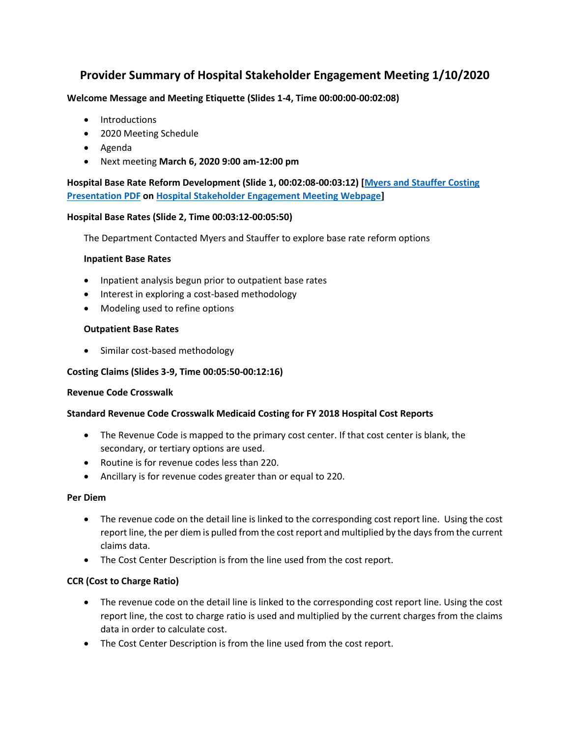# **Provider Summary of Hospital Stakeholder Engagement Meeting 1/10/2020**

# **Welcome Message and Meeting Etiquette (Slides 1-4, Time 00:00:00-00:02:08)**

- Introductions
- 2020 Meeting Schedule
- Agenda
- Next meeting **March 6, 2020 9:00 am-12:00 pm**

**Hospital Base Rate Reform Development (Slide 1, 00:02:08-00:03:12) [\[Myers and Stauffer Costing](https://www.colorado.gov/pacific/sites/default/files/Meyers%20and%20Stauffer%20Costing%20Presentation%201.2020_0.pdf)  [Presentation PDF](https://www.colorado.gov/pacific/sites/default/files/Meyers%20and%20Stauffer%20Costing%20Presentation%201.2020_0.pdf) on [Hospital Stakeholder Engagement Meeting Webpage\]](https://www.colorado.gov/pacific/hcpf/hospital-stakeholder-engagement-meetings)**

# **Hospital Base Rates (Slide 2, Time 00:03:12-00:05:50)**

The Department Contacted Myers and Stauffer to explore base rate reform options

# **Inpatient Base Rates**

- Inpatient analysis begun prior to outpatient base rates
- Interest in exploring a cost-based methodology
- Modeling used to refine options

# **Outpatient Base Rates**

• Similar cost-based methodology

# **Costing Claims (Slides 3-9, Time 00:05:50-00:12:16)**

# **Revenue Code Crosswalk**

# **Standard Revenue Code Crosswalk Medicaid Costing for FY 2018 Hospital Cost Reports**

- The Revenue Code is mapped to the primary cost center. If that cost center is blank, the secondary, or tertiary options are used.
- Routine is for revenue codes less than 220.
- Ancillary is for revenue codes greater than or equal to 220.

# **Per Diem**

- The revenue code on the detail line is linked to the corresponding cost report line. Using the cost report line, the per diem is pulled from the cost report and multiplied by the days from the current claims data.
- The Cost Center Description is from the line used from the cost report.

# **CCR (Cost to Charge Ratio)**

- The revenue code on the detail line is linked to the corresponding cost report line. Using the cost report line, the cost to charge ratio is used and multiplied by the current charges from the claims data in order to calculate cost.
- The Cost Center Description is from the line used from the cost report.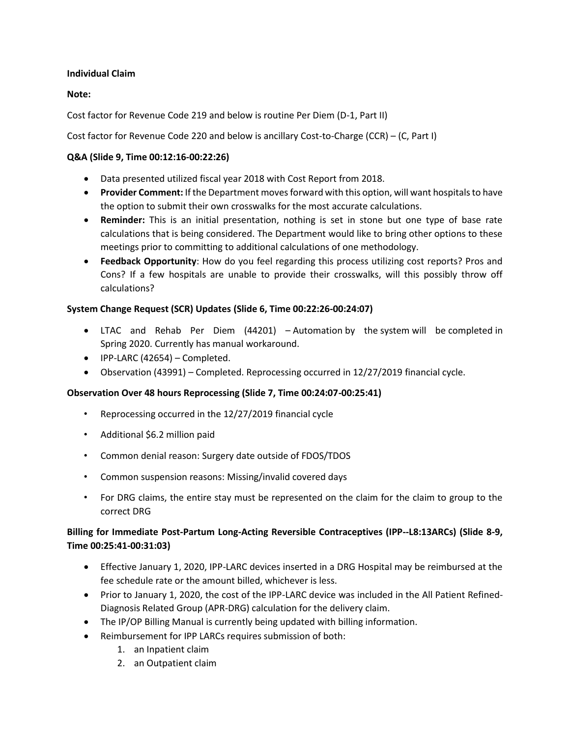# **Individual Claim**

# **Note:**

Cost factor for Revenue Code 219 and below is routine Per Diem (D-1, Part II)

Cost factor for Revenue Code 220 and below is ancillary Cost-to-Charge (CCR) – (C, Part I)

# **Q&A (Slide 9, Time 00:12:16-00:22:26)**

- Data presented utilized fiscal year 2018 with Cost Report from 2018.
- **Provider Comment:** If the Department moves forward with this option, will want hospitals to have the option to submit their own crosswalks for the most accurate calculations.
- **Reminder:** This is an initial presentation, nothing is set in stone but one type of base rate calculations that is being considered. The Department would like to bring other options to these meetings prior to committing to additional calculations of one methodology.
- **Feedback Opportunity**: How do you feel regarding this process utilizing cost reports? Pros and Cons? If a few hospitals are unable to provide their crosswalks, will this possibly throw off calculations?

# **System Change Request (SCR) Updates (Slide 6, Time 00:22:26-00:24:07)**

- LTAC and Rehab Per Diem (44201) Automation by the system will be completed in Spring 2020. Currently has manual workaround.
- IPP-LARC (42654) Completed.
- Observation (43991) Completed. Reprocessing occurred in 12/27/2019 financial cycle.

# **Observation Over 48 hours Reprocessing (Slide 7, Time 00:24:07-00:25:41)**

- Reprocessing occurred in the 12/27/2019 financial cycle
- Additional \$6.2 million paid
- Common denial reason: Surgery date outside of FDOS/TDOS
- Common suspension reasons: Missing/invalid covered days
- For DRG claims, the entire stay must be represented on the claim for the claim to group to the correct DRG

# **Billing for Immediate Post-Partum Long-Acting Reversible Contraceptives (IPP--L8:13ARCs) (Slide 8-9, Time 00:25:41-00:31:03)**

- Effective January 1, 2020, IPP-LARC devices inserted in a DRG Hospital may be reimbursed at the fee schedule rate or the amount billed, whichever is less.
- Prior to January 1, 2020, the cost of the IPP-LARC device was included in the All Patient Refined-Diagnosis Related Group (APR-DRG) calculation for the delivery claim.
- The IP/OP Billing Manual is currently being updated with billing information.
- Reimbursement for IPP LARCs requires submission of both:
	- 1. an Inpatient claim
	- 2. an Outpatient claim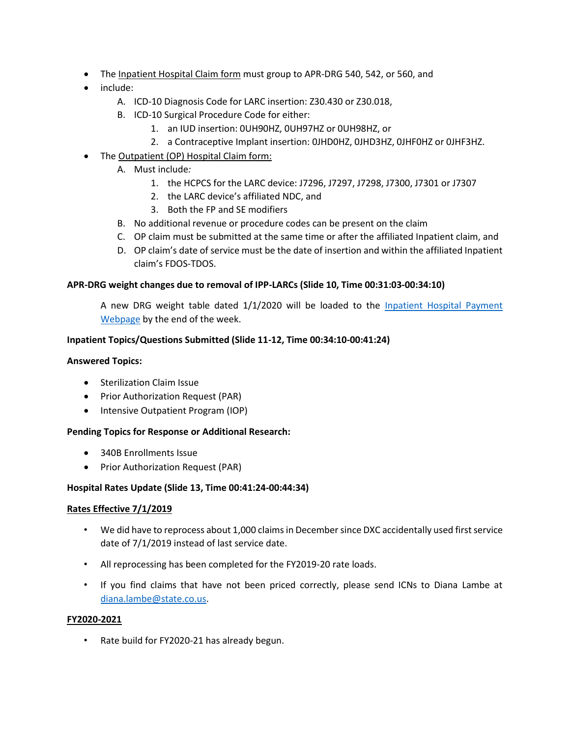- The Inpatient Hospital Claim form must group to APR-DRG 540, 542, or 560, and
- include:
	- A. ICD-10 Diagnosis Code for LARC insertion: Z30.430 or Z30.018,
	- B. ICD-10 Surgical Procedure Code for either:
		- 1. an IUD insertion: 0UH90HZ, 0UH97HZ or 0UH98HZ, or
		- 2. a Contraceptive Implant insertion: 0JHD0HZ, 0JHD3HZ, 0JHF0HZ or 0JHF3HZ.
- The Outpatient (OP) Hospital Claim form:
	- A. Must include*:* 
		- 1. the HCPCS for the LARC device: J7296, J7297, J7298, J7300, J7301 or J7307
		- 2. the LARC device's affiliated NDC, and
		- 3. Both the FP and SE modifiers
	- B. No additional revenue or procedure codes can be present on the claim
	- C. OP claim must be submitted at the same time or after the affiliated Inpatient claim, and
	- D. OP claim's date of service must be the date of insertion and within the affiliated Inpatient claim's FDOS-TDOS.

# **APR-DRG weight changes due to removal of IPP-LARCs (Slide 10, Time 00:31:03-00:34:10)**

A new DRG weight table dated 1/1/2020 will be loaded to the Inpatient Hospital Payment [Webpage](https://www.colorado.gov/hcpf/inpatient-hospital-payment) by the end of the week.

# **Inpatient Topics/Questions Submitted (Slide 11-12, Time 00:34:10-00:41:24)**

#### **Answered Topics:**

- Sterilization Claim Issue
- Prior Authorization Request (PAR)
- Intensive Outpatient Program (IOP)

# **Pending Topics for Response or Additional Research:**

- 340B Enrollments Issue
- Prior Authorization Request (PAR)

# **Hospital Rates Update (Slide 13, Time 00:41:24-00:44:34)**

# **Rates Effective 7/1/2019**

- We did have to reprocess about 1,000 claims in December since DXC accidentally used first service date of 7/1/2019 instead of last service date.
- All reprocessing has been completed for the FY2019-20 rate loads.
- If you find claims that have not been priced correctly, please send ICNs to Diana Lambe at [diana.lambe@state.co.us.](mailto:diana.lambe@state.co.us)

#### **FY2020-2021**

• Rate build for FY2020-21 has already begun.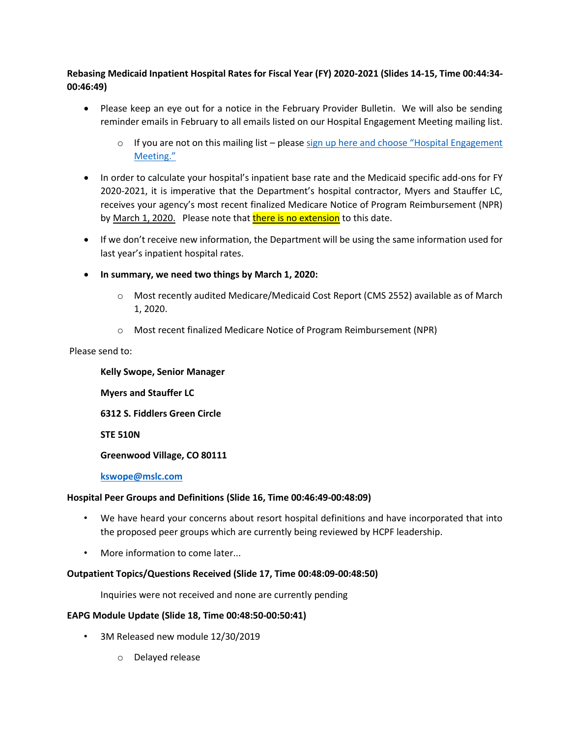**Rebasing Medicaid Inpatient Hospital Rates for Fiscal Year (FY) 2020-2021 (Slides 14-15, Time 00:44:34- 00:46:49)**

- Please keep an eye out for a notice in the February Provider Bulletin. We will also be sending reminder emails in February to all emails listed on our Hospital Engagement Meeting mailing list.
	- $\circ$  If you are not on this mailing list please sign up here and choose "Hospital Engagement [Meeting."](https://visitor.r20.constantcontact.com/manage/optin?v=001HfxrbpGNWZ0lZnPp6t3PG2s9XPNl8ZvgFdjsKvSnhIy8z9JmHyp6DeoLJ3saT6x0SeqRR1ub149uoXxe1ok4jTzfMSQ0BN7S5vcLiRO7gdY%3D)
- In order to calculate your hospital's inpatient base rate and the Medicaid specific add-ons for FY 2020-2021, it is imperative that the Department's hospital contractor, Myers and Stauffer LC, receives your agency's most recent finalized Medicare Notice of Program Reimbursement (NPR) by March 1, 2020. Please note that there is no extension to this date.
- If we don't receive new information, the Department will be using the same information used for last year's inpatient hospital rates.
- **In summary, we need two things by March 1, 2020:** 
	- o Most recently audited Medicare/Medicaid Cost Report (CMS 2552) available as of March 1, 2020.
	- o Most recent finalized Medicare Notice of Program Reimbursement (NPR)

Please send to:

**Kelly Swope, Senior Manager Myers and Stauffer LC 6312 S. Fiddlers Green Circle**

**STE 510N**

**Greenwood Village, CO 80111**

**[kswope@mslc.com](mailto:kswope@mslc.com)**

# **Hospital Peer Groups and Definitions (Slide 16, Time 00:46:49-00:48:09)**

- We have heard your concerns about resort hospital definitions and have incorporated that into the proposed peer groups which are currently being reviewed by HCPF leadership.
- More information to come later...

# **Outpatient Topics/Questions Received (Slide 17, Time 00:48:09-00:48:50)**

Inquiries were not received and none are currently pending

# **EAPG Module Update (Slide 18, Time 00:48:50-00:50:41)**

- 3M Released new module 12/30/2019
	- o Delayed release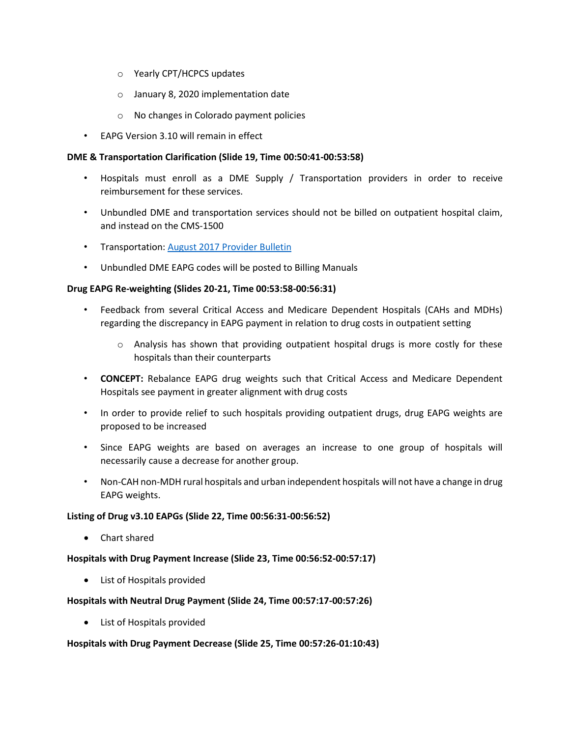- o Yearly CPT/HCPCS updates
- o January 8, 2020 implementation date
- o No changes in Colorado payment policies
- EAPG Version 3.10 will remain in effect

# **DME & Transportation Clarification (Slide 19, Time 00:50:41-00:53:58)**

- Hospitals must enroll as a DME Supply / Transportation providers in order to receive reimbursement for these services.
- Unbundled DME and transportation services should not be billed on outpatient hospital claim, and instead on the CMS-1500
- Transportation: [August 2017 Provider Bulletin](https://www.colorado.gov/pacific/sites/default/files/Bulletin_0817_B1700401.pdf)
- Unbundled DME EAPG codes will be posted to Billing Manuals

# **Drug EAPG Re-weighting (Slides 20-21, Time 00:53:58-00:56:31)**

- Feedback from several Critical Access and Medicare Dependent Hospitals (CAHs and MDHs) regarding the discrepancy in EAPG payment in relation to drug costs in outpatient setting
	- $\circ$  Analysis has shown that providing outpatient hospital drugs is more costly for these hospitals than their counterparts
- **CONCEPT:** Rebalance EAPG drug weights such that Critical Access and Medicare Dependent Hospitals see payment in greater alignment with drug costs
- In order to provide relief to such hospitals providing outpatient drugs, drug EAPG weights are proposed to be increased
- Since EAPG weights are based on averages an increase to one group of hospitals will necessarily cause a decrease for another group.
- Non-CAH non-MDH rural hospitals and urban independent hospitals will not have a change in drug EAPG weights.

# **Listing of Drug v3.10 EAPGs (Slide 22, Time 00:56:31-00:56:52)**

• Chart shared

# **Hospitals with Drug Payment Increase (Slide 23, Time 00:56:52-00:57:17)**

• List of Hospitals provided

# **Hospitals with Neutral Drug Payment (Slide 24, Time 00:57:17-00:57:26)**

• List of Hospitals provided

# **Hospitals with Drug Payment Decrease (Slide 25, Time 00:57:26-01:10:43)**